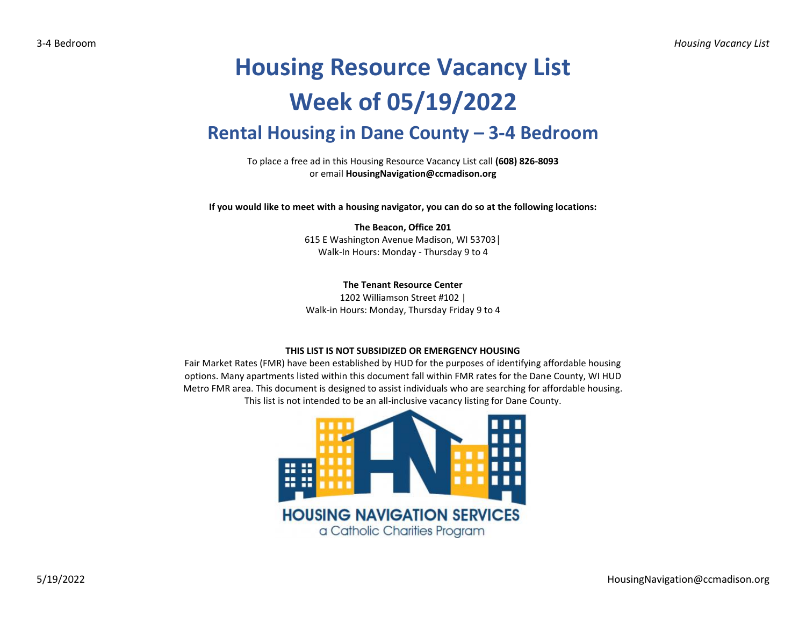## **Housing Resource Vacancy List Week of 05/19/2022 Rental Housing in Dane County – 3-4 Bedroom**

To place a free ad in this Housing Resource Vacancy List call **(608) 826-8093** or email **HousingNavigation@ccmadison.org**

**If you would like to meet with a housing navigator, you can do so at the following locations:**

**The Beacon, Office 201** 615 E Washington Avenue Madison, WI 53703│ Walk-In Hours: Monday - Thursday 9 to 4

**The Tenant Resource Center** 1202 Williamson Street #102 |

Walk-in Hours: Monday, Thursday Friday 9 to 4

## **THIS LIST IS NOT SUBSIDIZED OR EMERGENCY HOUSING**

Fair Market Rates (FMR) have been established by HUD for the purposes of identifying affordable housing options. Many apartments listed within this document fall within FMR rates for the Dane County, WI HUD Metro FMR area. This document is designed to assist individuals who are searching for affordable housing. This list is not intended to be an all-inclusive vacancy listing for Dane County.

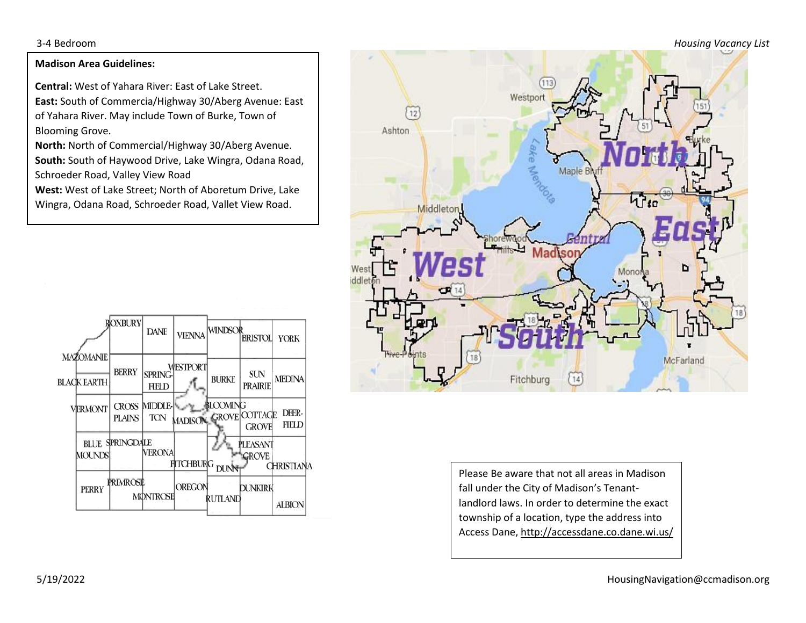3-4 Bedroom *Housing Vacancy List*

## **Madison Area Guidelines:**

**Central:** West of Yahara River: East of Lake Street. **East:** South of Commercia/Highway 30/Aberg Avenue: East of Yahara River. May include Town of Burke, Town of Blooming Grove.

**North:** North of Commercial/Highway 30/Aberg Avenue. **South:** South of Haywood Drive, Lake Wingra, Odana Road, Schroeder Road, Valley View Road

**West:** West of Lake Street; North of Aboretum Drive, Lake Wingra, Odana Road, Schroeder Road, Vallet View Road.





Please Be aware that not all areas in Madison fall under the City of Madison's Tenantlandlord laws. In order to determine the exact township of a location, type the address into Access Dane, http://accessdane.co.dane.wi.us/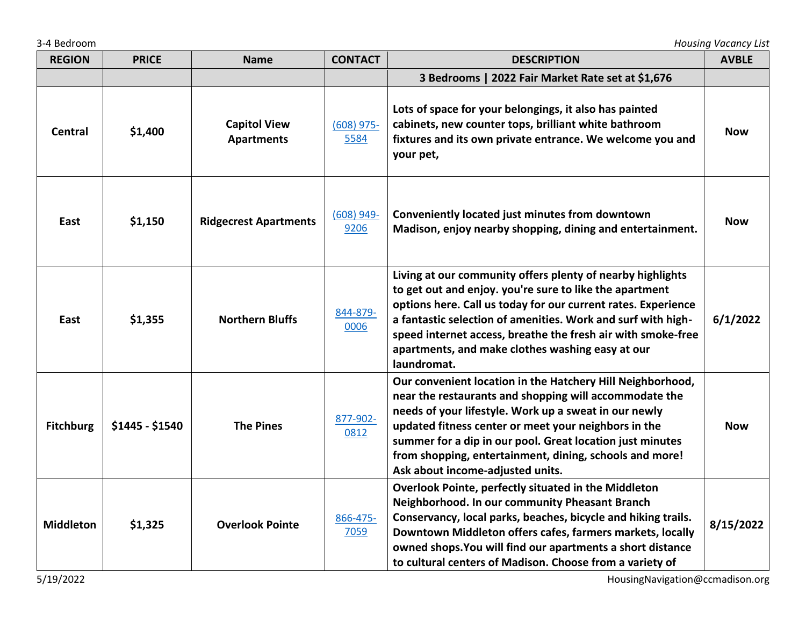3-4 Bedroom *Housing Vacancy List*

| <b>REGION</b>    | <b>PRICE</b>    | <b>Name</b>                              | <b>CONTACT</b>       | <b>DESCRIPTION</b>                                                                                                                                                                                                                                                                                                                                                                                | <b>AVBLE</b> |
|------------------|-----------------|------------------------------------------|----------------------|---------------------------------------------------------------------------------------------------------------------------------------------------------------------------------------------------------------------------------------------------------------------------------------------------------------------------------------------------------------------------------------------------|--------------|
|                  |                 |                                          |                      | 3 Bedrooms   2022 Fair Market Rate set at \$1,676                                                                                                                                                                                                                                                                                                                                                 |              |
| <b>Central</b>   | \$1,400         | <b>Capitol View</b><br><b>Apartments</b> | $(608)$ 975-<br>5584 | Lots of space for your belongings, it also has painted<br>cabinets, new counter tops, brilliant white bathroom<br>fixtures and its own private entrance. We welcome you and<br>your pet,                                                                                                                                                                                                          | <b>Now</b>   |
| East             | \$1,150         | <b>Ridgecrest Apartments</b>             | $(608)$ 949-<br>9206 | Conveniently located just minutes from downtown<br>Madison, enjoy nearby shopping, dining and entertainment.                                                                                                                                                                                                                                                                                      | <b>Now</b>   |
| East             | \$1,355         | <b>Northern Bluffs</b>                   | 844-879-<br>0006     | Living at our community offers plenty of nearby highlights<br>to get out and enjoy. you're sure to like the apartment<br>options here. Call us today for our current rates. Experience<br>a fantastic selection of amenities. Work and surf with high-<br>speed internet access, breathe the fresh air with smoke-free<br>apartments, and make clothes washing easy at our<br>laundromat.         | 6/1/2022     |
| <b>Fitchburg</b> | \$1445 - \$1540 | <b>The Pines</b>                         | 877-902-<br>0812     | Our convenient location in the Hatchery Hill Neighborhood,<br>near the restaurants and shopping will accommodate the<br>needs of your lifestyle. Work up a sweat in our newly<br>updated fitness center or meet your neighbors in the<br>summer for a dip in our pool. Great location just minutes<br>from shopping, entertainment, dining, schools and more!<br>Ask about income-adjusted units. | <b>Now</b>   |
| <b>Middleton</b> | \$1,325         | <b>Overlook Pointe</b>                   | 866-475-<br>7059     | Overlook Pointe, perfectly situated in the Middleton<br>Neighborhood. In our community Pheasant Branch<br>Conservancy, local parks, beaches, bicycle and hiking trails.<br>Downtown Middleton offers cafes, farmers markets, locally<br>owned shops. You will find our apartments a short distance<br>to cultural centers of Madison. Choose from a variety of                                    | 8/15/2022    |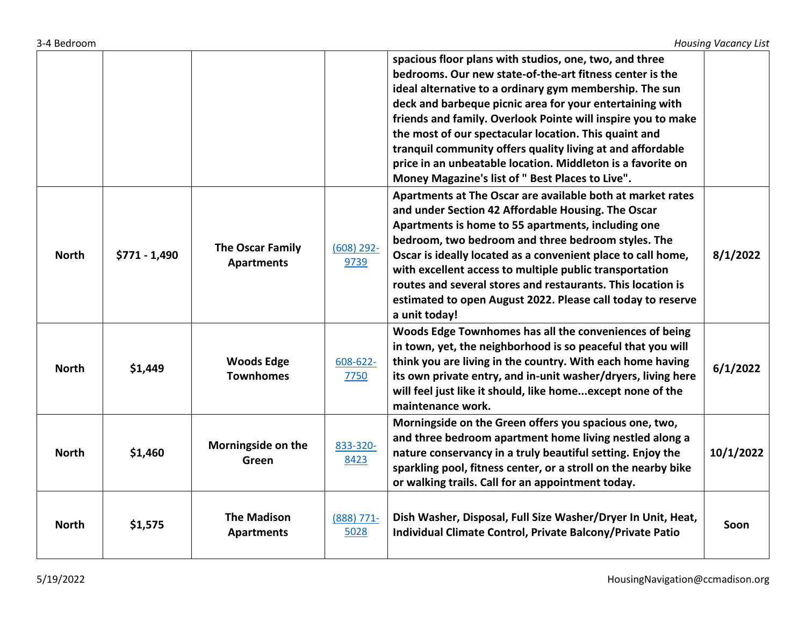| 3-4 Bedroom |  |
|-------------|--|
|             |  |

|              |                |                                              |                      | spacious floor plans with studios, one, two, and three<br>bedrooms. Our new state-of-the-art fitness center is the<br>ideal alternative to a ordinary gym membership. The sun<br>deck and barbeque picnic area for your entertaining with<br>friends and family. Overlook Pointe will inspire you to make<br>the most of our spectacular location. This quaint and<br>tranquil community offers quality living at and affordable<br>price in an unbeatable location. Middleton is a favorite on<br>Money Magazine's list of " Best Places to Live". |           |
|--------------|----------------|----------------------------------------------|----------------------|-----------------------------------------------------------------------------------------------------------------------------------------------------------------------------------------------------------------------------------------------------------------------------------------------------------------------------------------------------------------------------------------------------------------------------------------------------------------------------------------------------------------------------------------------------|-----------|
| <b>North</b> | $$771 - 1,490$ | <b>The Oscar Family</b><br><b>Apartments</b> | $(608)$ 292-<br>9739 | Apartments at The Oscar are available both at market rates<br>and under Section 42 Affordable Housing. The Oscar<br>Apartments is home to 55 apartments, including one<br>bedroom, two bedroom and three bedroom styles. The<br>Oscar is ideally located as a convenient place to call home,<br>with excellent access to multiple public transportation<br>routes and several stores and restaurants. This location is<br>estimated to open August 2022. Please call today to reserve<br>a unit today!                                              | 8/1/2022  |
| <b>North</b> | \$1,449        | <b>Woods Edge</b><br><b>Townhomes</b>        | 608-622-<br>7750     | Woods Edge Townhomes has all the conveniences of being<br>in town, yet, the neighborhood is so peaceful that you will<br>think you are living in the country. With each home having<br>its own private entry, and in-unit washer/dryers, living here<br>will feel just like it should, like homeexcept none of the<br>maintenance work.                                                                                                                                                                                                             | 6/1/2022  |
| <b>North</b> | \$1,460        | Morningside on the<br>Green                  | 833-320-<br>8423     | Morningside on the Green offers you spacious one, two,<br>and three bedroom apartment home living nestled along a<br>nature conservancy in a truly beautiful setting. Enjoy the<br>sparkling pool, fitness center, or a stroll on the nearby bike<br>or walking trails. Call for an appointment today.                                                                                                                                                                                                                                              | 10/1/2022 |
| <b>North</b> | \$1,575        | <b>The Madison</b><br><b>Apartments</b>      | $(888)$ 771-<br>5028 | Dish Washer, Disposal, Full Size Washer/Dryer In Unit, Heat,<br>Individual Climate Control, Private Balcony/Private Patio                                                                                                                                                                                                                                                                                                                                                                                                                           | Soon      |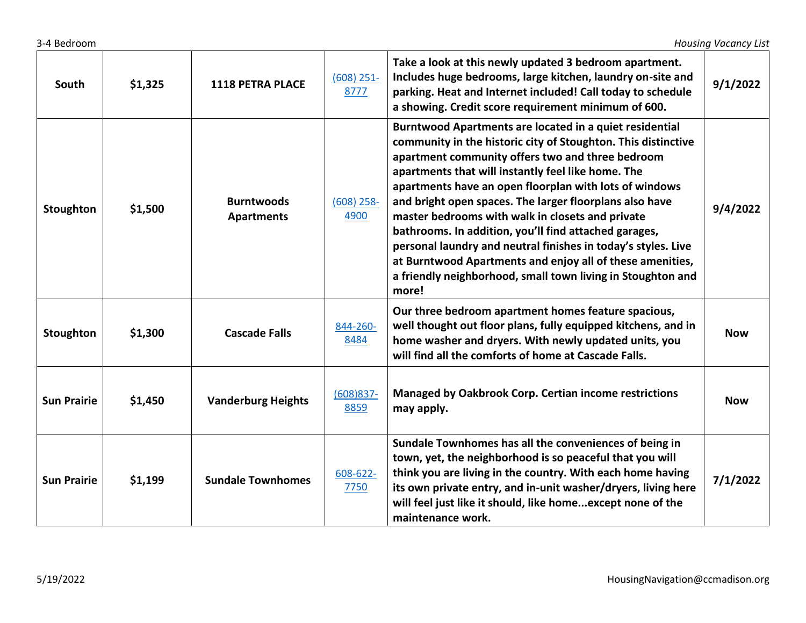| South              | \$1,325 | <b>1118 PETRA PLACE</b>                | $(608)$ 251-<br>8777 | Take a look at this newly updated 3 bedroom apartment.<br>Includes huge bedrooms, large kitchen, laundry on-site and<br>parking. Heat and Internet included! Call today to schedule<br>a showing. Credit score requirement minimum of 600.                                                                                                                                                                                                                                                                                                                                                                                                                                 | 9/1/2022   |
|--------------------|---------|----------------------------------------|----------------------|----------------------------------------------------------------------------------------------------------------------------------------------------------------------------------------------------------------------------------------------------------------------------------------------------------------------------------------------------------------------------------------------------------------------------------------------------------------------------------------------------------------------------------------------------------------------------------------------------------------------------------------------------------------------------|------------|
| Stoughton          | \$1,500 | <b>Burntwoods</b><br><b>Apartments</b> | $(608)$ 258-<br>4900 | Burntwood Apartments are located in a quiet residential<br>community in the historic city of Stoughton. This distinctive<br>apartment community offers two and three bedroom<br>apartments that will instantly feel like home. The<br>apartments have an open floorplan with lots of windows<br>and bright open spaces. The larger floorplans also have<br>master bedrooms with walk in closets and private<br>bathrooms. In addition, you'll find attached garages,<br>personal laundry and neutral finishes in today's styles. Live<br>at Burntwood Apartments and enjoy all of these amenities,<br>a friendly neighborhood, small town living in Stoughton and<br>more! | 9/4/2022   |
| Stoughton          | \$1,300 | <b>Cascade Falls</b>                   | 844-260-<br>8484     | Our three bedroom apartment homes feature spacious,<br>well thought out floor plans, fully equipped kitchens, and in<br>home washer and dryers. With newly updated units, you<br>will find all the comforts of home at Cascade Falls.                                                                                                                                                                                                                                                                                                                                                                                                                                      | <b>Now</b> |
| <b>Sun Prairie</b> | \$1,450 | <b>Vanderburg Heights</b>              | $(608)837 -$<br>8859 | <b>Managed by Oakbrook Corp. Certian income restrictions</b><br>may apply.                                                                                                                                                                                                                                                                                                                                                                                                                                                                                                                                                                                                 | <b>Now</b> |
| <b>Sun Prairie</b> | \$1,199 | <b>Sundale Townhomes</b>               | 608-622-<br>7750     | Sundale Townhomes has all the conveniences of being in<br>town, yet, the neighborhood is so peaceful that you will<br>think you are living in the country. With each home having<br>its own private entry, and in-unit washer/dryers, living here<br>will feel just like it should, like homeexcept none of the<br>maintenance work.                                                                                                                                                                                                                                                                                                                                       | 7/1/2022   |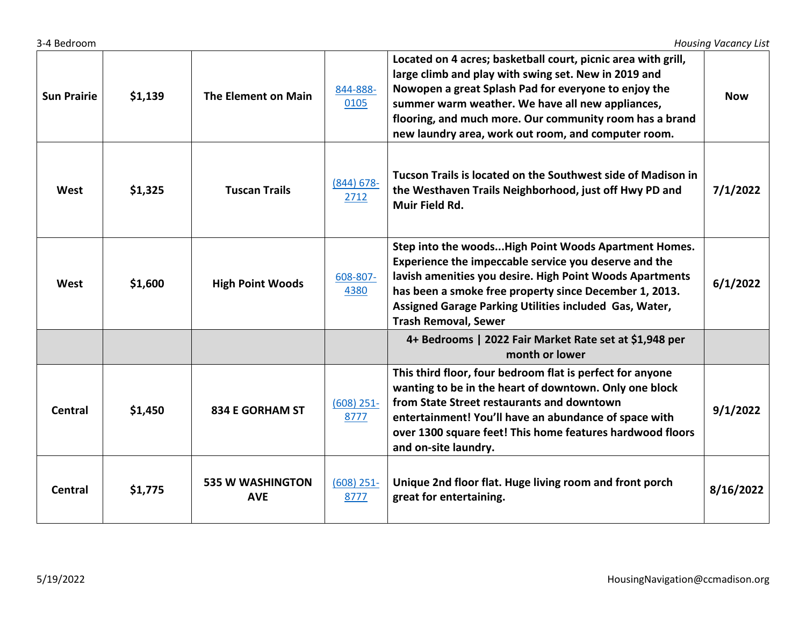| <b>Sun Prairie</b> | \$1,139 | The Element on Main                   | 844-888-<br>0105      | Located on 4 acres; basketball court, picnic area with grill,<br>large climb and play with swing set. New in 2019 and<br>Nowopen a great Splash Pad for everyone to enjoy the<br>summer warm weather. We have all new appliances,<br>flooring, and much more. Our community room has a brand<br>new laundry area, work out room, and computer room. | <b>Now</b> |
|--------------------|---------|---------------------------------------|-----------------------|-----------------------------------------------------------------------------------------------------------------------------------------------------------------------------------------------------------------------------------------------------------------------------------------------------------------------------------------------------|------------|
| West               | \$1,325 | <b>Tuscan Trails</b>                  | $(844) 678 -$<br>2712 | Tucson Trails is located on the Southwest side of Madison in<br>the Westhaven Trails Neighborhood, just off Hwy PD and<br>Muir Field Rd.                                                                                                                                                                                                            | 7/1/2022   |
| West               | \$1,600 | <b>High Point Woods</b>               | 608-807-<br>4380      | Step into the woodsHigh Point Woods Apartment Homes.<br>Experience the impeccable service you deserve and the<br>lavish amenities you desire. High Point Woods Apartments<br>has been a smoke free property since December 1, 2013.<br>Assigned Garage Parking Utilities included Gas, Water,<br><b>Trash Removal, Sewer</b>                        | 6/1/2022   |
|                    |         |                                       |                       | 4+ Bedrooms   2022 Fair Market Rate set at \$1,948 per<br>month or lower                                                                                                                                                                                                                                                                            |            |
| <b>Central</b>     | \$1,450 | <b>834 E GORHAM ST</b>                | $(608)$ 251-<br>8777  | This third floor, four bedroom flat is perfect for anyone<br>wanting to be in the heart of downtown. Only one block<br>from State Street restaurants and downtown<br>entertainment! You'll have an abundance of space with<br>over 1300 square feet! This home features hardwood floors<br>and on-site laundry.                                     | 9/1/2022   |
| Central            | \$1,775 | <b>535 W WASHINGTON</b><br><b>AVE</b> | $(608)$ 251-<br>8777  | Unique 2nd floor flat. Huge living room and front porch<br>great for entertaining.                                                                                                                                                                                                                                                                  | 8/16/2022  |